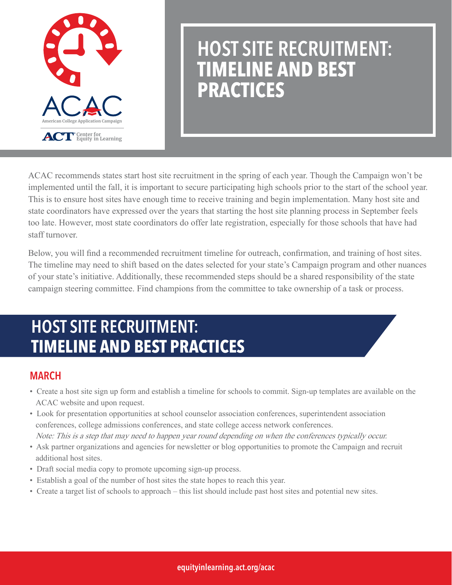

# HOST SITE RECRUITMENT: **TIMELINE AND BEST PRACTICES**

ACAC recommends states start host site recruitment in the spring of each year. Though the Campaign won't be implemented until the fall, it is important to secure participating high schools prior to the start of the school year. This is to ensure host sites have enough time to receive training and begin implementation. Many host site and state coordinators have expressed over the years that starting the host site planning process in September feels too late. However, most state coordinators do offer late registration, especially for those schools that have had staff turnover.

Below, you will find a recommended recruitment timeline for outreach, confirmation, and training of host sites. The timeline may need to shift based on the dates selected for your state's Campaign program and other nuances of your state's initiative. Additionally, these recommended steps should be a shared responsibility of the state campaign steering committee. Find champions from the committee to take ownership of a task or process.

## HOST SITE RECRUITMENT: **TIMELINE AND BEST PRACTICES**

#### MARCH

- Create a host site sign up form and establish a timeline for schools to commit. Sign-up templates are available on the ACAC website and upon request.
- Look for presentation opportunities at school counselor association conferences, superintendent association conferences, college admissions conferences, and state college access network conferences. Note: This is a step that may need to happen year round depending on when the conferences typically occur.
- Ask partner organizations and agencies for newsletter or blog opportunities to promote the Campaign and recruit additional host sites.
- Draft social media copy to promote upcoming sign-up process.
- Establish a goal of the number of host sites the state hopes to reach this year.
- Create a target list of schools to approach this list should include past host sites and potential new sites.